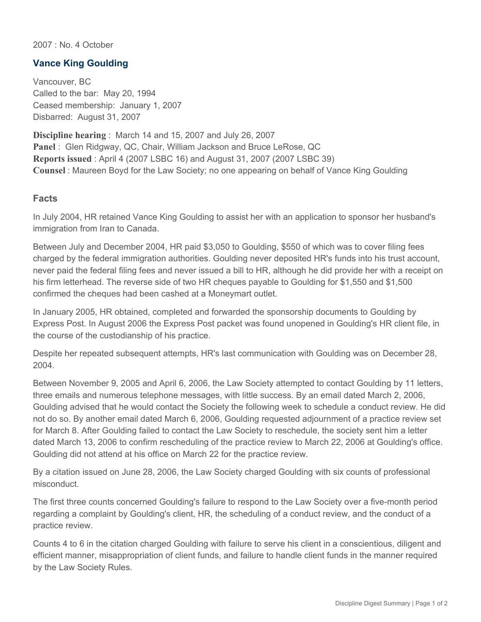2007 : No. 4 October

## **Vance King Goulding**

Vancouver, BC Called to the bar: May 20, 1994 Ceased membership: January 1, 2007 Disbarred: August 31, 2007

**Discipline hearing** : March 14 and 15, 2007 and July 26, 2007 **Panel** : Glen Ridgway, QC, Chair, William Jackson and Bruce LeRose, QC **Reports issued** : April 4 (2007 LSBC 16) and August 31, 2007 (2007 LSBC 39) **Counsel** : Maureen Boyd for the Law Society; no one appearing on behalf of Vance King Goulding

## **Facts**

In July 2004, HR retained Vance King Goulding to assist her with an application to sponsor her husband's immigration from Iran to Canada.

Between July and December 2004, HR paid \$3,050 to Goulding, \$550 of which was to cover filing fees charged by the federal immigration authorities. Goulding never deposited HR's funds into his trust account, never paid the federal filing fees and never issued a bill to HR, although he did provide her with a receipt on his firm letterhead. The reverse side of two HR cheques payable to Goulding for \$1,550 and \$1,500 confirmed the cheques had been cashed at a Moneymart outlet.

In January 2005, HR obtained, completed and forwarded the sponsorship documents to Goulding by Express Post. In August 2006 the Express Post packet was found unopened in Goulding's HR client file, in the course of the custodianship of his practice.

Despite her repeated subsequent attempts, HR's last communication with Goulding was on December 28, 2004.

Between November 9, 2005 and April 6, 2006, the Law Society attempted to contact Goulding by 11 letters, three emails and numerous telephone messages, with little success. By an email dated March 2, 2006, Goulding advised that he would contact the Society the following week to schedule a conduct review. He did not do so. By another email dated March 6, 2006, Goulding requested adjournment of a practice review set for March 8. After Goulding failed to contact the Law Society to reschedule, the society sent him a letter dated March 13, 2006 to confirm rescheduling of the practice review to March 22, 2006 at Goulding's office. Goulding did not attend at his office on March 22 for the practice review.

By a citation issued on June 28, 2006, the Law Society charged Goulding with six counts of professional misconduct.

The first three counts concerned Goulding's failure to respond to the Law Society over a five-month period regarding a complaint by Goulding's client, HR, the scheduling of a conduct review, and the conduct of a practice review.

Counts 4 to 6 in the citation charged Goulding with failure to serve his client in a conscientious, diligent and efficient manner, misappropriation of client funds, and failure to handle client funds in the manner required by the Law Society Rules.